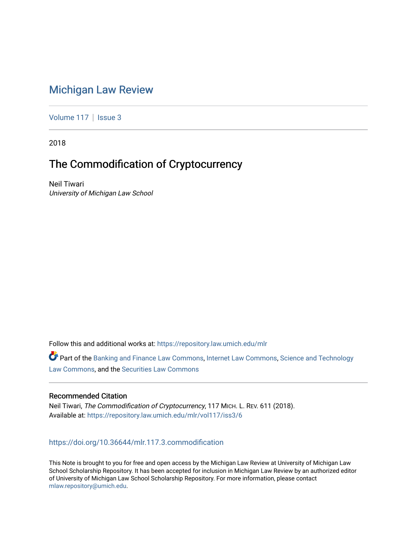## [Michigan Law Review](https://repository.law.umich.edu/mlr)

[Volume 117](https://repository.law.umich.edu/mlr/vol117) | [Issue 3](https://repository.law.umich.edu/mlr/vol117/iss3)

2018

# The Commodification of Cryptocurrency

Neil Tiwari University of Michigan Law School

Follow this and additional works at: [https://repository.law.umich.edu/mlr](https://repository.law.umich.edu/mlr?utm_source=repository.law.umich.edu%2Fmlr%2Fvol117%2Fiss3%2F6&utm_medium=PDF&utm_campaign=PDFCoverPages) 

Part of the [Banking and Finance Law Commons,](http://network.bepress.com/hgg/discipline/833?utm_source=repository.law.umich.edu%2Fmlr%2Fvol117%2Fiss3%2F6&utm_medium=PDF&utm_campaign=PDFCoverPages) [Internet Law Commons](http://network.bepress.com/hgg/discipline/892?utm_source=repository.law.umich.edu%2Fmlr%2Fvol117%2Fiss3%2F6&utm_medium=PDF&utm_campaign=PDFCoverPages), [Science and Technology](http://network.bepress.com/hgg/discipline/875?utm_source=repository.law.umich.edu%2Fmlr%2Fvol117%2Fiss3%2F6&utm_medium=PDF&utm_campaign=PDFCoverPages) [Law Commons,](http://network.bepress.com/hgg/discipline/875?utm_source=repository.law.umich.edu%2Fmlr%2Fvol117%2Fiss3%2F6&utm_medium=PDF&utm_campaign=PDFCoverPages) and the [Securities Law Commons](http://network.bepress.com/hgg/discipline/619?utm_source=repository.law.umich.edu%2Fmlr%2Fvol117%2Fiss3%2F6&utm_medium=PDF&utm_campaign=PDFCoverPages)

### Recommended Citation

Neil Tiwari, The Commodification of Cryptocurrency, 117 MICH. L. REV. 611 (2018). Available at: [https://repository.law.umich.edu/mlr/vol117/iss3/6](https://repository.law.umich.edu/mlr/vol117/iss3/6?utm_source=repository.law.umich.edu%2Fmlr%2Fvol117%2Fiss3%2F6&utm_medium=PDF&utm_campaign=PDFCoverPages) 

<https://doi.org/10.36644/mlr.117.3.commodification>

This Note is brought to you for free and open access by the Michigan Law Review at University of Michigan Law School Scholarship Repository. It has been accepted for inclusion in Michigan Law Review by an authorized editor of University of Michigan Law School Scholarship Repository. For more information, please contact [mlaw.repository@umich.edu.](mailto:mlaw.repository@umich.edu)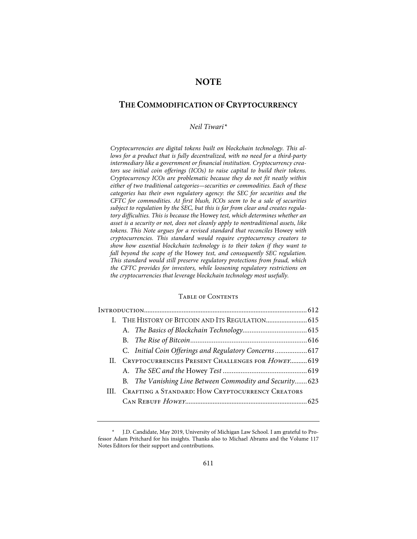## **NOTE**

## **THE COMMODIFICATION OF CRYPTOCURRENCY**

#### *Neil Tiwari\**

*Cryptocurrencies are digital tokens built on blockchain technology. This allows for a product that is fully decentralized, with no need for a third-party intermediary like a government or financial institution. Cryptocurrency creators use initial coin offerings (ICOs) to raise capital to build their tokens. Cryptocurrency ICOs are problematic because they do not fit neatly within either of two traditional categories—securities or commodities. Each of these categories has their own regulatory agency: the SEC for securities and the CFTC for commodities. At first blush, ICOs seem to be a sale of securities subject to regulation by the SEC, but this is far from clear and creates regulatory difficulties. This is because the* Howey *test, which determines whether an asset is a security or not, does not cleanly apply to nontraditional assets, like tokens. This Note argues for a revised standard that reconciles* Howey *with cryptocurrencies. This standard would require cryptocurrency creators to show how essential blockchain technology is to their token if they want to fall beyond the scope of the* Howey *test, and consequently SEC regulation. This standard would still preserve regulatory protections from fraud, which the CFTC provides for investors, while loosening regulatory restrictions on the cryptocurrencies that leverage blockchain technology most usefully.* 

#### TABLE OF CONTENTS

| C. Initial Coin Offerings and Regulatory Concerns 617    |  |  |
|----------------------------------------------------------|--|--|
| II. CRYPTOCURRENCIES PRESENT CHALLENGES FOR HOWEY 619    |  |  |
|                                                          |  |  |
| B. The Vanishing Line Between Commodity and Security 623 |  |  |
| III. CRAFTING A STANDARD: HOW CRYPTOCURRENCY CREATORS    |  |  |
|                                                          |  |  |
|                                                          |  |  |

<sup>\*</sup> J.D. Candidate, May 2019, University of Michigan Law School. I am grateful to Professor Adam Pritchard for his insights. Thanks also to Michael Abrams and the Volume 117 Notes Editors for their support and contributions.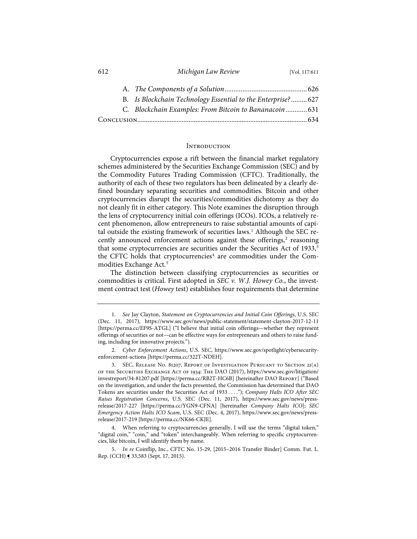| ◡∸ | THRUBBLE DUTY INCORP                                        | VU1, 11/1.011 |
|----|-------------------------------------------------------------|---------------|
|    |                                                             |               |
|    | B. Is Blockchain Technology Essential to the Enterprise?627 |               |
|    | C. Blockchain Examples: From Bitcoin to Bananacoin 631      |               |
|    |                                                             |               |

#### **INTRODUCTION**

Cryptocurrencies expose a rift between the financial market regulatory schemes administered by the Securities Exchange Commission (SEC) and by the Commodity Futures Trading Commission (CFTC). Traditionally, the authority of each of these two regulators has been delineated by a clearly defined boundary separating securities and commodities. Bitcoin and other cryptocurrencies disrupt the securities/commodities dichotomy as they do not cleanly fit in either category. This Note examines the disruption through the lens of cryptocurrency initial coin offerings (ICOs). ICOs, a relatively recent phenomenon, allow entrepreneurs to raise substantial amounts of capital outside the existing framework of securities laws.<sup>1</sup> Although the SEC recently announced enforcement actions against these offerings, $2$  reasoning that some cryptocurrencies are securities under the Securities Act of 1933,<sup>3</sup> the CFTC holds that cryptocurrencies<sup>4</sup> are commodities under the Commodities Exchange Act.<sup>5</sup>

The distinction between classifying cryptocurrencies as securities or commodities is critical. First adopted in *SEC v. W.J. Howey Co.*, the investment contract test (*Howey* test) establishes four requirements that determine

612 *Michigan Law Review* [Vol. 117:611

<sup>1.</sup> *See* Jay Clayton, *Statement on Cryptocurrencies and Initial Coin Offerings*, U.S. SEC (Dec. 11, 2017), https://www.sec.gov/news/public-statement/statement-clayton-2017-12-11 [https://perma.cc/EF9S-ATGL] ("I believe that initial coin offerings—whether they represent offerings of securities or not—can be effective ways for entrepreneurs and others to raise funding, including for innovative projects.").

<sup>2.</sup> *Cyber Enforcement Actions*, U.S. SEC, https://www.sec.gov/spotlight/cybersecurityenforcement-actions [https://perma.cc/322T-NDEH].

<sup>3.</sup> SEC, Release No. 81207, Report of Investigation Pursuant to Section 21(a) of the Securities Exchange Act of 1934: The DAO (2017), https://www.sec.gov/litigation/ investreport/34-81207.pdf [https://perma.cc/RB2T-HC6B] [hereinafter DAO Report] ("Based on the investigation, and under the facts presented, the Commission has determined that DAO Tokens are securities under the Securities Act of 1933 . . . ."); *Company Halts ICO After SEC Raises Registration Concerns*, U.S. SEC (Dec. 11, 2017), https://www.sec.gov/news/pressrelease/2017-227 [https://perma.cc/YGN9-CFNA] [hereinafter *Company Halts ICO*]; *SEC Emergency Action Halts ICO Scam*, U.S. SEC (Dec. 4, 2017), https://www.sec.gov/news/pressrelease/2017-219 [https://perma.cc/NK66-CKJE].

<sup>4.</sup> When referring to cryptocurrencies generally, I will use the terms "digital token," "digital coin," "coin," and "token" interchangeably. When referring to specific cryptocurrencies, like bitcoin, I will identify them by name.

<sup>5.</sup> *In re* Coinflip, Inc., CFTC No. 15-29, [2015–2016 Transfer Binder] Comm. Fut. L. Rep. (CCH) ¶ 33,583 (Sept. 17, 2015).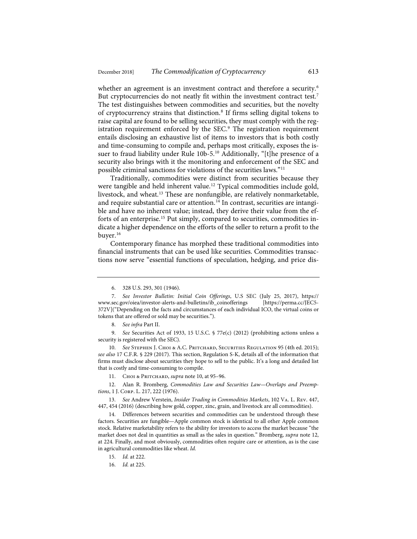whether an agreement is an investment contract and therefore a security.<sup>6</sup> But cryptocurrencies do not neatly fit within the investment contract test.<sup>7</sup> The test distinguishes between commodities and securities, but the novelty of cryptocurrency strains that distinction.<sup>8</sup> If firms selling digital tokens to raise capital are found to be selling securities, they must comply with the registration requirement enforced by the SEC.<sup>9</sup> The registration requirement entails disclosing an exhaustive list of items to investors that is both costly and time-consuming to compile and, perhaps most critically, exposes the issuer to fraud liability under Rule 10b-5.<sup>10</sup> Additionally, "[t]he presence of a security also brings with it the monitoring and enforcement of the SEC and possible criminal sanctions for violations of the securities laws."11

Traditionally, commodities were distinct from securities because they were tangible and held inherent value.<sup>12</sup> Typical commodities include gold, livestock, and wheat.13 These are nonfungible, are relatively nonmarketable, and require substantial care or attention.<sup>14</sup> In contrast, securities are intangible and have no inherent value; instead, they derive their value from the efforts of an enterprise.<sup>15</sup> Put simply, compared to securities, commodities indicate a higher dependence on the efforts of the seller to return a profit to the buyer.16

Contemporary finance has morphed these traditional commodities into financial instruments that can be used like securities. Commodities transactions now serve "essential functions of speculation, hedging, and price dis-

8. *See infra* Part II.

9. *See* Securities Act of 1933, 15 U.S.C. § 77e(c) (2012) (prohibiting actions unless a security is registered with the SEC).

10. See Stephen J. Choi & A.C. Pritchard, Securities Regulation 95 (4th ed. 2015); *see also* 17 C.F.R. § 229 (2017). This section, Regulation S-K, details all of the information that firms must disclose about securities they hope to sell to the public. It's a long and detailed list that is costly and time-consuming to compile.

11. Choi & Pritchard, *supra* note 10, at 95-96.

12. Alan R. Bromberg, *Commodities Law and Securities Law—Overlaps and Preemptions*, 1 J. Corp. L. 217, 222 (1976).

13. *See* Andrew Verstein, *Insider Trading in Commodities Markets*, 102 Va. L. Rev. 447, 447, 454 (2016) (describing how gold, copper, zinc, grain, and livestock are all commodities).

14. Differences between securities and commodities can be understood through these factors. Securities are fungible—Apple common stock is identical to all other Apple common stock. Relative marketability refers to the ability for investors to access the market because "the market does not deal in quantities as small as the sales in question." Bromberg, *supra* note 12, at 224. Finally, and most obviously, commodities often require care or attention, as is the case in agricultural commodities like wheat. *Id.*

15. *Id.* at 222.

16. *Id.* at 225.

<sup>6. 328</sup> U.S. 293, 301 (1946).

<sup>7.</sup> *See Investor Bulletin: Initial Coin Offerings*, U.S SEC (July 25, 2017), https:// www.sec.gov/oiea/investor-alerts-and-bulletins/ib\_coinofferings [https://perma.cc/JEC5- 372V]("Depending on the facts and circumstances of each individual ICO, the virtual coins or tokens that are offered or sold may be securities.").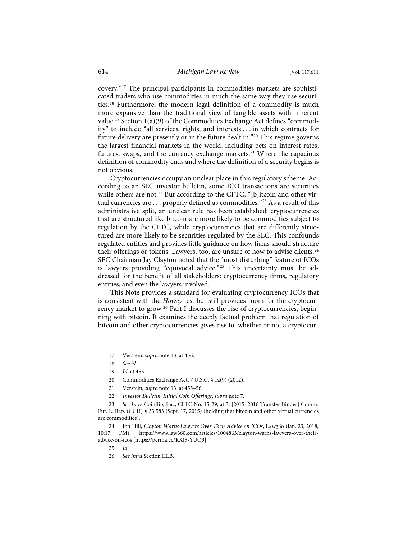covery."17 The principal participants in commodities markets are sophisticated traders who use commodities in much the same way they use securities.18 Furthermore, the modern legal definition of a commodity is much more expansive than the traditional view of tangible assets with inherent value.19 Section 1(a)(9) of the Commodities Exchange Act defines "commodity" to include "all services, rights, and interests . . . in which contracts for future delivery are presently or in the future dealt in."20 This regime governs the largest financial markets in the world, including bets on interest rates, futures, swaps, and the currency exchange markets.<sup>21</sup> Where the capacious definition of commodity ends and where the definition of a security begins is not obvious.

Cryptocurrencies occupy an unclear place in this regulatory scheme. According to an SEC investor bulletin, some ICO transactions are securities while others are not.<sup>22</sup> But according to the CFTC, "[b]itcoin and other virtual currencies are . . . properly defined as commodities."<sup>23</sup> As a result of this administrative split, an unclear rule has been established: cryptocurrencies that are structured like bitcoin are more likely to be commodities subject to regulation by the CFTC, while cryptocurrencies that are differently structured are more likely to be securities regulated by the SEC. This confounds regulated entities and provides little guidance on how firms should structure their offerings or tokens. Lawyers, too, are unsure of how to advise clients.<sup>24</sup> SEC Chairman Jay Clayton noted that the "most disturbing" feature of ICOs is lawyers providing "equivocal advice."<sup>25</sup> This uncertainty must be addressed for the benefit of all stakeholders: cryptocurrency firms, regulatory entities, and even the lawyers involved.

This Note provides a standard for evaluating cryptocurrency ICOs that is consistent with the *Howey* test but still provides room for the cryptocurrency market to grow.<sup>26</sup> Part I discusses the rise of cryptocurrencies, beginning with bitcoin. It examines the deeply factual problem that regulation of bitcoin and other cryptocurrencies gives rise to: whether or not a cryptocur-

- 21. Verstein, *supra* note 13, at 455–56.
- 22. *Investor Bulletin: Initial Coin Offerings*, *supra* note 7.

<sup>17.</sup> Verstein, *supra* note 13, at 456.

<sup>18.</sup> *See id.*

<sup>19.</sup> *Id.* at 455.

<sup>20.</sup> Commodities Exchange Act, 7 U.S.C. § 1a(9) (2012).

<sup>23.</sup> *See In re* Coinflip, Inc., CFTC No. 15-29, at 3, [2015–2016 Transfer Binder] Comm. Fut. L. Rep. (CCH) ¶ 33.583 (Sept. 17, 2015) (holding that bitcoin and other virtual currencies are commodities).

<sup>24.</sup> Jon Hill, *Clayton Warns Lawyers Over Their Advice on ICOs*, Law360 (Jan. 23, 2018, 10:17 PM), https://www.law360.com/articles/1004863/clayton-warns-lawyers-over-theiradvice-on-icos [https://perma.cc/RXJ5-YUQ9].

<sup>25.</sup> *Id.*

<sup>26.</sup> *See infra* Section III.B.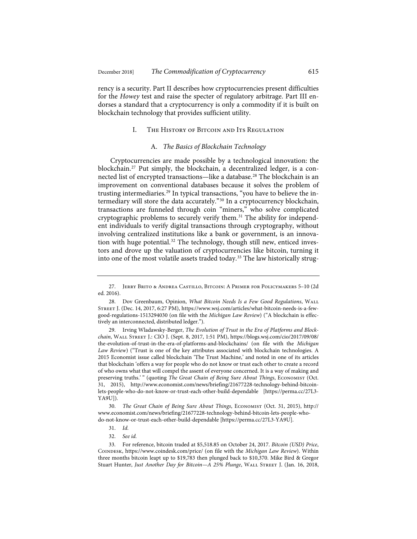rency is a security. Part II describes how cryptocurrencies present difficulties for the *Howey* test and raise the specter of regulatory arbitrage. Part III endorses a standard that a cryptocurrency is only a commodity if it is built on blockchain technology that provides sufficient utility.

#### I. The History of Bitcoin and Its Regulation

#### A. *The Basics of Blockchain Technology*

Cryptocurrencies are made possible by a technological innovation: the blockchain.27 Put simply, the blockchain, a decentralized ledger, is a connected list of encrypted transactions—like a database.<sup>28</sup> The blockchain is an improvement on conventional databases because it solves the problem of trusting intermediaries.<sup>29</sup> In typical transactions, "you have to believe the intermediary will store the data accurately."30 In a cryptocurrency blockchain, transactions are funneled through coin "miners," who solve complicated cryptographic problems to securely verify them.<sup>31</sup> The ability for independent individuals to verify digital transactions through cryptography, without involving centralized institutions like a bank or government, is an innovation with huge potential.<sup>32</sup> The technology, though still new, enticed investors and drove up the valuation of cryptocurrencies like bitcoin, turning it into one of the most volatile assets traded today.<sup>33</sup> The law historically strug-

29. Irving Wladawsky-Berger, *The Evolution of Trust in the Era of Platforms and Blockchain*, Wall Street J.: CIO J. (Sept. 8, 2017, 1:51 PM), https://blogs.wsj.com/cio/2017/09/08/ the-evolution-of-trust-in-the-era-of-platforms-and-blockchains/ (on file with the *Michigan Law Review*) ("Trust is one of the key attributes associated with blockchain technologies. A 2015 Economist issue called blockchain 'The Trust Machine,' and noted in one of its articles that blockchain 'offers a way for people who do not know or trust each other to create a record of who owns what that will compel the assent of everyone concerned. It is a way of making and preserving truths.'" (quoting *The Great Chain of Being Sure About Things*, ECONOMIST (Oct. 31, 2015), http://www.economist.com/news/briefing/21677228-technology-behind-bitcoinlets-people-who-do-not-know-or-trust-each-other-build-dependable [https://perma.cc/27L3- YA9U]).

30. *The Great Chain of Being Sure About Things*, Economist (Oct. 31, 2015), http:// www.economist.com/news/briefing/21677228-technology-behind-bitcoin-lets-people-whodo-not-know-or-trust-each-other-build-dependable [https://perma.cc/27L3-YA9U].

<sup>27.</sup> Jerry Brito & Andrea Castillo, Bitcoin: A Primer for Policymakers 5–10 (2d ed. 2016).

<sup>28.</sup> Dov Greenbaum, Opinion, *What Bitcoin Needs Is a Few Good Regulations*, Wall Street J. (Dec. 14, 2017, 6:27 PM), https://www.wsj.com/articles/what-bitcoin-needs-is-a-fewgood-regulations-1513294030 (on file with the *Michigan Law Review*) ("A blockchain is effectively an interconnected, distributed ledger.").

<sup>31.</sup> *Id.*

<sup>32.</sup> *See id.*

<sup>33.</sup> For reference, bitcoin traded at \$5,518.85 on October 24, 2017. *Bitcoin (USD) Price*, Coindesk, https://www.coindesk.com/price/ (on file with the *Michigan Law Review*). Within three months bitcoin leapt up to \$19,783 then plunged back to \$10,370. Mike Bird & Gregor Stuart Hunter, *Just Another Day for Bitcoin—A 25% Plunge*, WALL STREET J. (Jan. 16, 2018,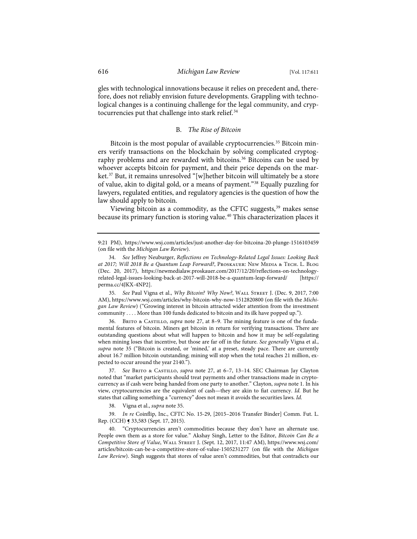gles with technological innovations because it relies on precedent and, therefore, does not reliably envision future developments. Grappling with technological changes is a continuing challenge for the legal community, and cryptocurrencies put that challenge into stark relief.<sup>34</sup>

#### B. *The Rise of Bitcoin*

Bitcoin is the most popular of available cryptocurrencies.<sup>35</sup> Bitcoin miners verify transactions on the blockchain by solving complicated cryptography problems and are rewarded with bitcoins.<sup>36</sup> Bitcoins can be used by whoever accepts bitcoin for payment, and their price depends on the market.37 But, it remains unresolved "[w]hether bitcoin will ultimately be a store of value, akin to digital gold, or a means of payment."38 Equally puzzling for lawyers, regulated entities, and regulatory agencies is the question of how the law should apply to bitcoin.

Viewing bitcoin as a commodity, as the CFTC suggests,<sup>39</sup> makes sense because its primary function is storing value.<sup>40</sup> This characterization places it

35. *See* Paul Vigna et al., *Why Bitcoin? Why Now?*, Wall Street J. (Dec. 9, 2017, 7:00 AM), https://www.wsj.com/articles/why-bitcoin-why-now-1512820800 (on file with the *Michigan Law Review*) ("Growing interest in bitcoin attracted wider attention from the investment community . . . . More than 100 funds dedicated to bitcoin and its ilk have popped up.").

BRITO & CASTILLO, *supra* note 27, at 8-9. The mining feature is one of the fundamental features of bitcoin. Miners get bitcoin in return for verifying transactions. There are outstanding questions about what will happen to bitcoin and how it may be self-regulating when mining loses that incentive, but those are far off in the future. *See generally* Vigna et al., *supra* note 35 ("Bitcoin is created, or 'mined,' at a preset, steady pace. There are currently about 16.7 million bitcoin outstanding; mining will stop when the total reaches 21 million, expected to occur around the year 2140.").

37. *See* Brito & Castillo, *supra* note 27, at 6–7, 13–14. SEC Chairman Jay Clayton noted that "market participants should treat payments and other transactions made in cryptocurrency as if cash were being handed from one party to another." Clayton, *supra* note 1. In his view, cryptocurrencies are the equivalent of cash—they are akin to fiat currency. *Id.* But he states that calling something a "currency" does not mean it avoids the securities laws. *Id.*

38. Vigna et al., *supra* note 35.

39. *In re* Coinflip, Inc., CFTC No. 15-29, [2015–2016 Transfer Binder] Comm. Fut. L. Rep. (CCH) ¶ 33,583 (Sept. 17, 2015).

40. "Cryptocurrencies aren't commodities because they don't have an alternate use. People own them as a store for value." Akshay Singh, Letter to the Editor, *Bitcoin Can Be a Competitive Store of Value*, Wall Street J. (Sept. 12, 2017, 11:47 AM), https://www.wsj.com/ articles/bitcoin-can-be-a-competitive-store-of-value-1505231277 (on file with the *Michigan Law Review*). Singh suggests that stores of value aren't commodities, but that contradicts our

<sup>9:21</sup> PM), https://www.wsj.com/articles/just-another-day-for-bitcoina-20-plunge-1516103459 (on file with the *Michigan Law Review*).

<sup>34.</sup> *See* Jeffrey Neuburger, *Reflections on Technology-Related Legal Issues: Looking Back at 2017; Will 2018 Be a Quantum Leap Forward?*, Proskauer: New Media & Tech. L. Blog (Dec. 20, 2017), https://newmedialaw.proskauer.com/2017/12/20/reflections-on-technologyrelated-legal-issues-looking-back-at-2017-will-2018-be-a-quantum-leap-forward/ [https:// perma.cc/4JKX-4NP2].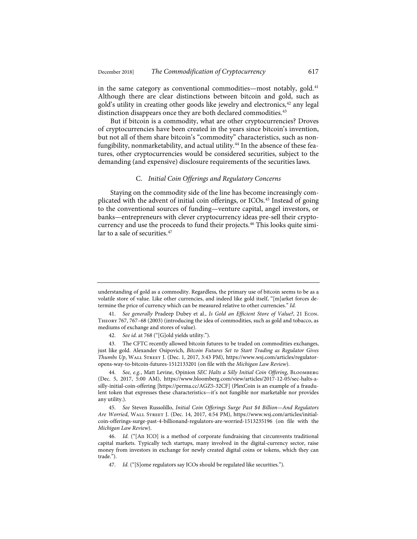in the same category as conventional commodities—most notably, gold.<sup>41</sup> Although there are clear distinctions between bitcoin and gold, such as gold's utility in creating other goods like jewelry and electronics,<sup>42</sup> any legal distinction disappears once they are both declared commodities.<sup>43</sup>

But if bitcoin is a commodity, what are other cryptocurrencies? Droves of cryptocurrencies have been created in the years since bitcoin's invention, but not all of them share bitcoin's "commodity" characteristics, such as nonfungibility, nonmarketability, and actual utility.<sup>44</sup> In the absence of these features, other cryptocurrencies would be considered securities, subject to the demanding (and expensive) disclosure requirements of the securities laws.

#### C. *Initial Coin Offerings and Regulatory Concerns*

Staying on the commodity side of the line has become increasingly complicated with the advent of initial coin offerings, or ICOs.45 Instead of going to the conventional sources of funding—venture capital, angel investors, or banks—entrepreneurs with clever cryptocurrency ideas pre-sell their cryptocurrency and use the proceeds to fund their projects.<sup>46</sup> This looks quite similar to a sale of securities.<sup>47</sup>

understanding of gold as a commodity. Regardless, the primary use of bitcoin seems to be as a volatile store of value. Like other currencies, and indeed like gold itself, "[m]arket forces determine the price of currency which can be measured relative to other currencies." *Id.*

<sup>41.</sup> *See generally* Pradeep Dubey et al., *Is Gold an Efficient Store of Value?*, 21 Econ. Theory 767, 767–68 (2003) (introducing the idea of commodities, such as gold and tobacco, as mediums of exchange and stores of value).

<sup>42.</sup> *See id.* at 768 ("[G]old yields utility.").

<sup>43.</sup> The CFTC recently allowed bitcoin futures to be traded on commodities exchanges, just like gold. Alexander Osipovich, *Bitcoin Futures Set to Start Trading as Regulator Gives Thumbs Up*, Wall Street J. (Dec. 1, 2017, 3:43 PM), https://www.wsj.com/articles/regulatoropens-way-to-bitcoin-futures-1512133201 (on file with the *Michigan Law Review*).

<sup>44.</sup> *See, e.g.*, Matt Levine, Opinion *SEC Halts a Silly Initial Coin Offering*, Bloomberg (Dec. 5, 2017, 5:00 AM), https://www.bloomberg.com/view/articles/2017-12-05/sec-halts-asilly-initial-coin-offering [https://perma.cc/AGZ5-32CF] (PlexCoin is an example of a fraudulent token that expresses these characteristics—it's not fungible nor marketable nor provides any utility.).

<sup>45.</sup> *See* Steven Russolillo, *Initial Coin Offerings Surge Past \$4 Billion—And Regulators Are Worried*, Wall Street J. (Dec. 14, 2017, 4:54 PM), https://www.wsj.com/articles/initialcoin-offerings-surge-past-4-billionand-regulators-are-worried-1513235196 (on file with the *Michigan Law Review*).

<sup>46.</sup> *Id.* ("[An ICO] is a method of corporate fundraising that circumvents traditional capital markets. Typically tech startups, many involved in the digital-currency sector, raise money from investors in exchange for newly created digital coins or tokens, which they can trade.").

<sup>47.</sup> *Id.* ("[S]ome regulators say ICOs should be regulated like securities.").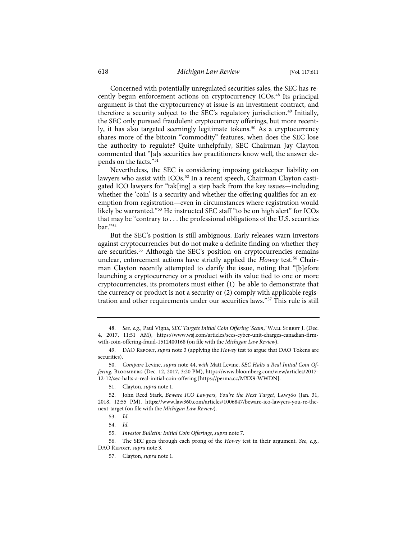Concerned with potentially unregulated securities sales, the SEC has recently begun enforcement actions on cryptocurrency ICOs.<sup>48</sup> Its principal argument is that the cryptocurrency at issue is an investment contract, and therefore a security subject to the SEC's regulatory jurisdiction.<sup>49</sup> Initially, the SEC only pursued fraudulent cryptocurrency offerings, but more recently, it has also targeted seemingly legitimate tokens.<sup>50</sup> As a cryptocurrency shares more of the bitcoin "commodity" features, when does the SEC lose the authority to regulate? Quite unhelpfully, SEC Chairman Jay Clayton commented that "[a]s securities law practitioners know well, the answer depends on the facts."51

Nevertheless, the SEC is considering imposing gatekeeper liability on lawyers who assist with ICOs.<sup>52</sup> In a recent speech, Chairman Clayton castigated ICO lawyers for "tak[ing] a step back from the key issues—including whether the 'coin' is a security and whether the offering qualifies for an exemption from registration—even in circumstances where registration would likely be warranted."<sup>53</sup> He instructed SEC staff "to be on high alert" for ICOs that may be "contrary to . . . the professional obligations of the U.S. securities bar."54

But the SEC's position is still ambiguous. Early releases warn investors against cryptocurrencies but do not make a definite finding on whether they are securities.<sup>55</sup> Although the SEC's position on cryptocurrencies remains unclear, enforcement actions have strictly applied the *Howey* test.<sup>56</sup> Chairman Clayton recently attempted to clarify the issue, noting that "[b]efore launching a cryptocurrency or a product with its value tied to one or more cryptocurrencies, its promoters must either (1) be able to demonstrate that the currency or product is not a security or (2) comply with applicable registration and other requirements under our securities laws."57 This rule is still

56. The SEC goes through each prong of the *Howey* test in their argument. *See, e.g.*, DAO Report, *supra* note 3.

<sup>48.</sup> *See, e.g.*, Paul Vigna, *SEC Targets Initial Coin Offering 'Scam*,*'* Wall Street J. (Dec. 4, 2017, 11:51 AM), https://www.wsj.com/articles/secs-cyber-unit-charges-canadian-firmwith-coin-offering-fraud-1512400168 (on file with the *Michigan Law Review*).

<sup>49.</sup> DAO Report, *supra* note 3 (applying the *Howey* test to argue that DAO Tokens are securities).

<sup>50.</sup> *Compare* Levine, *supra* note 44, *with* Matt Levine, *SEC Halts a Real Initial Coin Offering*, Bloomberg (Dec. 12, 2017, 3:20 PM), https://www.bloomberg.com/view/articles/2017- 12-12/sec-halts-a-real-initial-coin-offering [https://perma.cc/MXX9-WWDN].

<sup>51.</sup> Clayton, *supra* note 1.

<sup>52.</sup> John Reed Stark, *Beware ICO Lawyers, You're the Next Target*, Law360 (Jan. 31, 2018, 12:55 PM), https://www.law360.com/articles/1006847/beware-ico-lawyers-you-re-thenext-target (on file with the *Michigan Law Review*).

<sup>53.</sup> *Id.*

<sup>54.</sup> *Id.*

<sup>55.</sup> *Investor Bulletin: Initial Coin Offerings*, *supra* note 7.

<sup>57.</sup> Clayton, *supra* note 1.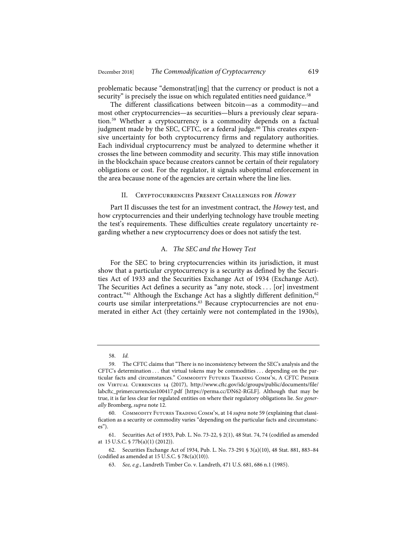problematic because "demonstrat[ing] that the currency or product is not a security" is precisely the issue on which regulated entities need guidance.<sup>58</sup>

The different classifications between bitcoin—as a commodity—and most other cryptocurrencies—as securities—blurs a previously clear separation.59 Whether a cryptocurrency is a commodity depends on a factual judgment made by the SEC, CFTC, or a federal judge.<sup>60</sup> This creates expensive uncertainty for both cryptocurrency firms and regulatory authorities. Each individual cryptocurrency must be analyzed to determine whether it crosses the line between commodity and security. This may stifle innovation in the blockchain space because creators cannot be certain of their regulatory obligations or cost. For the regulator, it signals suboptimal enforcement in the area because none of the agencies are certain where the line lies.

#### II. CRYPTOCURRENCIES PRESENT CHALLENGES FOR HOWEY

Part II discusses the test for an investment contract, the *Howey* test, and how cryptocurrencies and their underlying technology have trouble meeting the test's requirements. These difficulties create regulatory uncertainty regarding whether a new cryptocurrency does or does not satisfy the test.

#### A. *The SEC and the* Howey *Test*

For the SEC to bring cryptocurrencies within its jurisdiction, it must show that a particular cryptocurrency is a security as defined by the Securities Act of 1933 and the Securities Exchange Act of 1934 (Exchange Act). The Securities Act defines a security as "any note, stock . . . [or] investment contract."<sup>61</sup> Although the Exchange Act has a slightly different definition,<sup>62</sup> courts use similar interpretations.<sup>63</sup> Because cryptocurrencies are not enumerated in either Act (they certainly were not contemplated in the 1930s),

<sup>58.</sup> *Id.*

<sup>59.</sup> The CFTC claims that "There is no inconsistency between the SEC's analysis and the CFTC's determination . . . that virtual tokens may be commodities . . . depending on the particular facts and circumstances." COMMODITY FUTURES TRADING COMM'N, A CFTC PRIMER on Virtual Currencies 14 (2017), http://www.cftc.gov/idc/groups/public/documents/file/ labcftc\_primercurrencies100417.pdf [https://perma.cc/DN62-RGLF]. Although that may be true, it is far less clear for regulated entities on where their regulatory obligations lie. *See generally* Bromberg, *supra* note 12.

<sup>60.</sup> Commodity Futures Trading Comm'n, at 14 *supra* note 59 (explaining that classification as a security or commodity varies "depending on the particular facts and circumstances").

<sup>61.</sup> Securities Act of 1933, Pub. L. No. 73-22, § 2(1), 48 Stat. 74, 74 (codified as amended at 15 U.S.C. § 77b(a)(1) (2012)).

<sup>62.</sup> Securities Exchange Act of 1934, Pub. L. No. 73-291 § 3(a)(10), 48 Stat. 881, 883–84 (codified as amended at 15 U.S.C. § 78c(a)(10)).

<sup>63.</sup> *See, e.g.*, Landreth Timber Co. v. Landreth, 471 U.S. 681, 686 n.1 (1985).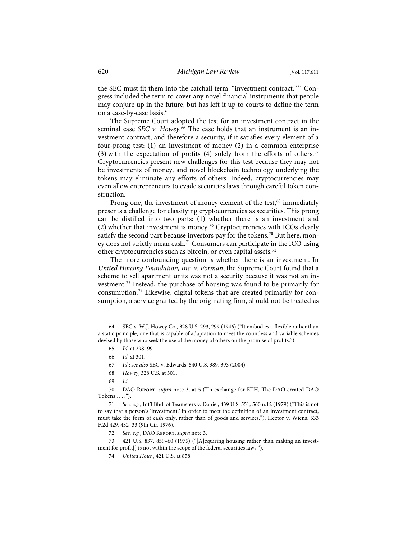the SEC must fit them into the catchall term: "investment contract."<sup>64</sup> Congress included the term to cover any novel financial instruments that people may conjure up in the future, but has left it up to courts to define the term on a case-by-case basis.<sup>65</sup>

The Supreme Court adopted the test for an investment contract in the seminal case *SEC v. Howey*. <sup>66</sup> The case holds that an instrument is an investment contract, and therefore a security, if it satisfies every element of a four-prong test: (1) an investment of money (2) in a common enterprise (3) with the expectation of profits (4) solely from the efforts of others.<sup>67</sup> Cryptocurrencies present new challenges for this test because they may not be investments of money, and novel blockchain technology underlying the tokens may eliminate any efforts of others. Indeed, cryptocurrencies may even allow entrepreneurs to evade securities laws through careful token construction.

Prong one, the investment of money element of the test,<sup>68</sup> immediately presents a challenge for classifying cryptocurrencies as securities. This prong can be distilled into two parts: (1) whether there is an investment and (2) whether that investment is money.69 Cryptocurrencies with ICOs clearly satisfy the second part because investors pay for the tokens.<sup>70</sup> But here, money does not strictly mean cash.<sup>71</sup> Consumers can participate in the ICO using other cryptocurrencies such as bitcoin, or even capital assets.72

The more confounding question is whether there is an investment. In *United Housing Foundation, Inc. v. Forman*, the Supreme Court found that a scheme to sell apartment units was not a security because it was not an investment.73 Instead, the purchase of housing was found to be primarily for consumption.74 Likewise, digital tokens that are created primarily for consumption, a service granted by the originating firm, should not be treated as

68. *Howey*, 328 U.S. at 301.

71. *See, e.g.*, Int'l Bhd. of Teamsters v. Daniel, 439 U.S. 551, 560 n.12 (1979) ("This is not to say that a person's 'investment,' in order to meet the definition of an investment contract, must take the form of cash only, rather than of goods and services."); Hector v. Wiens, 533 F.2d 429, 432–33 (9th Cir. 1976).

72. *See, e.g.*, DAO Report, *supra* note 3.

73. 421 U.S. 837, 859–60 (1975) ("[A]cquiring housing rather than making an investment for profit[] is not within the scope of the federal securities laws.").

<sup>64.</sup> SEC v. W.J. Howey Co., 328 U.S. 293, 299 (1946) ("It embodies a flexible rather than a static principle, one that is capable of adaptation to meet the countless and variable schemes devised by those who seek the use of the money of others on the promise of profits.").

<sup>65.</sup> *Id.* at 298–99.

<sup>66.</sup> *Id.* at 301.

<sup>67.</sup> *Id.*; *see also* SEC v. Edwards, 540 U.S. 389, 393 (2004).

<sup>69.</sup> *Id.*

<sup>70.</sup> DAO Report, *supra* note 3, at 5 ("In exchange for ETH, The DAO created DAO Tokens  $\dots$ .").

<sup>74.</sup> *United Hous.*, 421 U.S. at 858.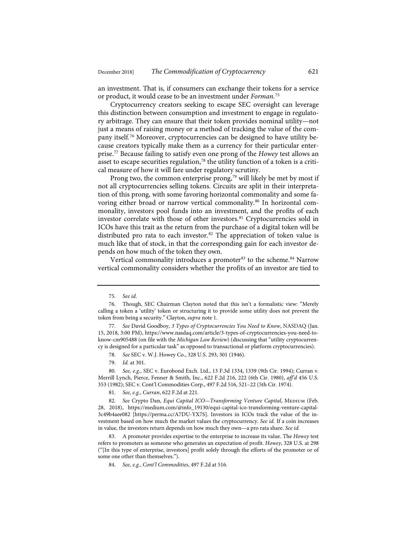an investment. That is, if consumers can exchange their tokens for a service or product, it would cease to be an investment under *Forman*. 75

Cryptocurrency creators seeking to escape SEC oversight can leverage this distinction between consumption and investment to engage in regulatory arbitrage. They can ensure that their token provides nominal utility—not just a means of raising money or a method of tracking the value of the company itself.76 Moreover, cryptocurrencies can be designed to have utility because creators typically make them as a currency for their particular enterprise.77 Because failing to satisfy even one prong of the *Howey* test allows an asset to escape securities regulation, $78$  the utility function of a token is a critical measure of how it will fare under regulatory scrutiny.

Prong two, the common enterprise prong,<sup>79</sup> will likely be met by most if not all cryptocurrencies selling tokens. Circuits are split in their interpretation of this prong, with some favoring horizontal commonality and some favoring either broad or narrow vertical commonality.<sup>80</sup> In horizontal commonality, investors pool funds into an investment, and the profits of each investor correlate with those of other investors.<sup>81</sup> Cryptocurrencies sold in ICOs have this trait as the return from the purchase of a digital token will be distributed pro rata to each investor.<sup>82</sup> The appreciation of token value is much like that of stock, in that the corresponding gain for each investor depends on how much of the token they own.

Vertical commonality introduces a promoter<sup>83</sup> to the scheme.<sup>84</sup> Narrow vertical commonality considers whether the profits of an investor are tied to

79. *Id.* at 301.

81. *See, e.g.*, *Curran*, 622 F.2d at 221.

<sup>75.</sup> *See id.*

<sup>76.</sup> Though, SEC Chairman Clayton noted that this isn't a formalistic view: "Merely calling a token a 'utility' token or structuring it to provide some utility does not prevent the token from being a security." Clayton, *supra* note 1.

<sup>77.</sup> *See* David Goodboy, *3 Types of Cryptocurrencies You Need to Know*, NASDAQ (Jan. 15, 2018, 3:00 PM), https://www.nasdaq.com/article/3-types-of-cryptocurrencies-you-need-toknow-cm905488 (on file with the *Michigan Law Review*) (discussing that "utility cryptocurrency is designed for a particular task" as opposed to transactional or platform cryptocurrencies).

<sup>78.</sup> *See* SEC v. W.J. Howey Co., 328 U.S. 293, 301 (1946).

<sup>80.</sup> *See, e.g.*, SEC v. Eurobond Exch. Ltd., 13 F.3d 1334, 1339 (9th Cir. 1994); Curran v. Merrill Lynch, Pierce, Fenner & Smith, Inc., 622 F.2d 216, 222 (6th Cir. 1980), *aff'd* 456 U.S. 353 (1982); SEC v. Cont'l Commodities Corp., 497 F.2d 516, 521–22 (5th Cir. 1974).

<sup>82.</sup> See Crypto Dan, *Equi Capital ICO—Transforming Venture Capital*, MEDIUM (Feb. 28, 2018), https://medium.com/@info\_19130/equi-capital-ico-transforming-venture-capital-3c49b4aee082 [https://perma.cc/A7DU-YX7S]. Investors in ICOs track the value of the investment based on how much the market values the cryptocurrency. *See id.* If a coin increases in value, the investors return depends on how much they own—a pro rata share. *See id.*

<sup>83.</sup> A promoter provides expertise to the enterprise to increase its value. The *Howey* test refers to promoters as someone who generates an expectation of profit. *Howey*, 328 U.S. at 298 ("[In this type of enterprise, investors] profit solely through the efforts of the promoter or of some one other than themselves.").

<sup>84.</sup> *See, e.g.*, *Cont'l Commodities*, 497 F.2d at 516.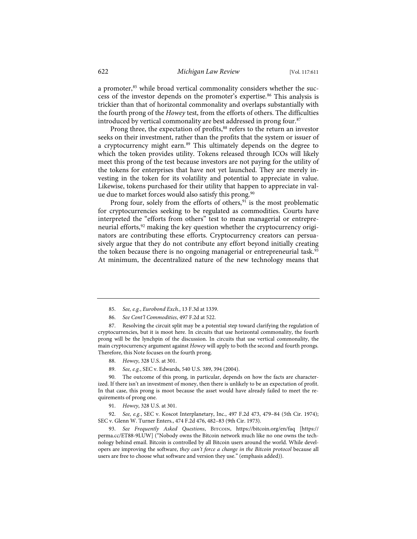a promoter,<sup>85</sup> while broad vertical commonality considers whether the success of the investor depends on the promoter's expertise.<sup>86</sup> This analysis is trickier than that of horizontal commonality and overlaps substantially with the fourth prong of the *Howey* test, from the efforts of others. The difficulties introduced by vertical commonality are best addressed in prong four.<sup>87</sup>

Prong three, the expectation of profits,<sup>88</sup> refers to the return an investor seeks on their investment, rather than the profits that the system or issuer of a cryptocurrency might earn.<sup>89</sup> This ultimately depends on the degree to which the token provides utility. Tokens released through ICOs will likely meet this prong of the test because investors are not paying for the utility of the tokens for enterprises that have not yet launched. They are merely investing in the token for its volatility and potential to appreciate in value. Likewise, tokens purchased for their utility that happen to appreciate in value due to market forces would also satisfy this prong.<sup>90</sup>

Prong four, solely from the efforts of others,<sup>91</sup> is the most problematic for cryptocurrencies seeking to be regulated as commodities. Courts have interpreted the "efforts from others" test to mean managerial or entrepreneurial efforts,<sup>92</sup> making the key question whether the cryptocurrency originators are contributing these efforts. Cryptocurrency creators can persuasively argue that they do not contribute any effort beyond initially creating the token because there is no ongoing managerial or entrepreneurial task.<sup>93</sup> At minimum, the decentralized nature of the new technology means that

- 88. *Howey*, 328 U.S. at 301.
- 89. *See, e.g.*, SEC v. Edwards, 540 U.S. 389, 394 (2004).

90. The outcome of this prong, in particular, depends on how the facts are characterized. If there isn't an investment of money, then there is unlikely to be an expectation of profit. In that case, this prong is moot because the asset would have already failed to meet the requirements of prong one.

91. *Howey*, 328 U.S. at 301.

92. *See, e.g.*, SEC v. Koscot Interplanetary, Inc., 497 F.2d 473, 479–84 (5th Cir. 1974); SEC v. Glenn W. Turner Enters., 474 F.2d 476, 482–83 (9th Cir. 1973).

93. *See Frequently Asked Questions*, Bitcoin, https://bitcoin.org/en/faq [https:// perma.cc/ET88-9LUW] ("Nobody owns the Bitcoin network much like no one owns the technology behind email. Bitcoin is controlled by all Bitcoin users around the world. While developers are improving the software, *they can't force a change in the Bitcoin protocol* because all users are free to choose what software and version they use." (emphasis added)).

<sup>85.</sup> *See, e.g.*, *Eurobond Exch.*, 13 F.3d at 1339.

<sup>86.</sup> *See Cont'l Commodities*, 497 F.2d at 522.

<sup>87.</sup> Resolving the circuit split may be a potential step toward clarifying the regulation of cryptocurrencies, but it is moot here. In circuits that use horizontal commonality, the fourth prong will be the lynchpin of the discussion. In circuits that use vertical commonality, the main cryptocurrency argument against *Howey* will apply to both the second and fourth prongs. Therefore, this Note focuses on the fourth prong.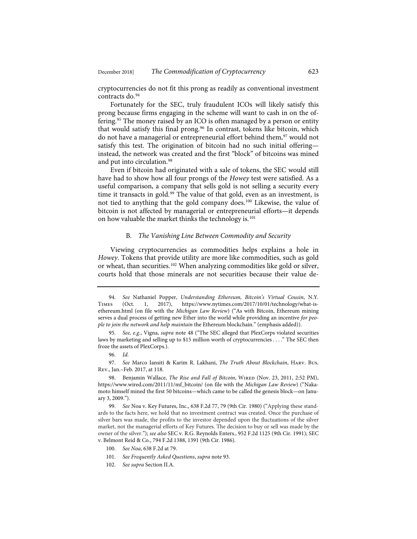cryptocurrencies do not fit this prong as readily as conventional investment contracts do.<sup>94</sup>

Fortunately for the SEC, truly fraudulent ICOs will likely satisfy this prong because firms engaging in the scheme will want to cash in on the offering.<sup>95</sup> The money raised by an ICO is often managed by a person or entity that would satisfy this final prong.<sup>96</sup> In contrast, tokens like bitcoin, which do not have a managerial or entrepreneurial effort behind them,<sup>97</sup> would not satisfy this test. The origination of bitcoin had no such initial offering instead, the network was created and the first "block" of bitcoins was mined and put into circulation.<sup>98</sup>

Even if bitcoin had originated with a sale of tokens, the SEC would still have had to show how all four prongs of the *Howey* test were satisfied. As a useful comparison, a company that sells gold is not selling a security every time it transacts in gold.<sup>99</sup> The value of that gold, even as an investment, is not tied to anything that the gold company does.100 Likewise, the value of bitcoin is not affected by managerial or entrepreneurial efforts—it depends on how valuable the market thinks the technology is.<sup>101</sup>

#### B*. The Vanishing Line Between Commodity and Security*

Viewing cryptocurrencies as commodities helps explains a hole in *Howey*. Tokens that provide utility are more like commodities, such as gold or wheat, than securities.<sup>102</sup> When analyzing commodities like gold or silver, courts hold that those minerals are not securities because their value de-

<sup>94.</sup> *See* Nathaniel Popper, *Understanding Ethereum, Bitcoin's Virtual Cousin*, N.Y. Times (Oct. 1, 2017), https://www.nytimes.com/2017/10/01/technology/what-isethereum.html (on file with the *Michigan Law Review*) ("As with Bitcoin, Ethereum mining serves a dual process of getting new Ether into the world while providing an incentive *for people to join the network and help maintain* the Ethereum blockchain." (emphasis added)).

<sup>95.</sup> *See, e.g.*, Vigna, *supra* note 48 ("The SEC alleged that PlexCorps violated securities laws by marketing and selling up to \$15 million worth of cryptocurrencies . . . ." The SEC then froze the assets of PlexCorps.).

<sup>96.</sup> *Id.*

<sup>97.</sup> *See* Marco Iansiti & Karim R. Lakhani, *The Truth About Blockchain*, Harv. Bus. Rev., Jan.–Feb. 2017, at 118.

<sup>98.</sup> Benjamin Wallace, *The Rise and Fall of Bitcoin*, WIRED (Nov. 23, 2011, 2:52 PM), https://www.wired.com/2011/11/mf\_bitcoin/ (on file with the *Michigan Law Review*) ("Nakamoto himself mined the first 50 bitcoins—which came to be called the genesis block—on January 3, 2009.").

<sup>99.</sup> *See* Noa v. Key Futures, Inc., 638 F.2d 77, 79 (9th Cir. 1980) ("Applying these standards to the facts here, we hold that no investment contract was created. Once the purchase of silver bars was made, the profits to the investor depended upon the fluctuations of the silver market, not the managerial efforts of Key Futures. The decision to buy or sell was made by the owner of the silver."); *see also* SEC v. R.G. Reynolds Enters., 952 F.2d 1125 (9th Cir. 1991); SEC v. Belmont Reid & Co., 794 F.2d 1388, 1391 (9th Cir. 1986).

<sup>100.</sup> *See Noa*, 638 F.2d at 79.

<sup>101.</sup> *See Frequently Asked Questions*, *supra* note 93.

<sup>102.</sup> *See supra* Section II.A.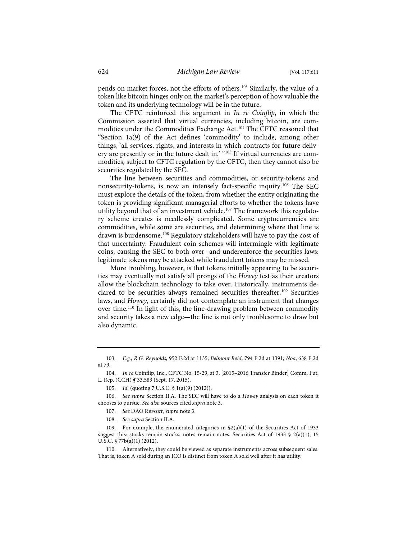pends on market forces, not the efforts of others.103 Similarly, the value of a token like bitcoin hinges only on the market's perception of how valuable the token and its underlying technology will be in the future.

The CFTC reinforced this argument in *In re Coinflip*, in which the Commission asserted that virtual currencies, including bitcoin, are commodities under the Commodities Exchange Act.104 The CFTC reasoned that "Section 1a(9) of the Act defines 'commodity' to include, among other things, 'all services, rights, and interests in which contracts for future delivery are presently or in the future dealt in.' "105 If virtual currencies are commodities, subject to CFTC regulation by the CFTC, then they cannot also be securities regulated by the SEC.

The line between securities and commodities, or security-tokens and nonsecurity-tokens, is now an intensely fact-specific inquiry.106 The SEC must explore the details of the token, from whether the entity originating the token is providing significant managerial efforts to whether the tokens have utility beyond that of an investment vehicle.<sup>107</sup> The framework this regulatory scheme creates is needlessly complicated. Some cryptocurrencies are commodities, while some are securities, and determining where that line is drawn is burdensome.<sup>108</sup> Regulatory stakeholders will have to pay the cost of that uncertainty. Fraudulent coin schemes will intermingle with legitimate coins, causing the SEC to both over- and underenforce the securities laws: legitimate tokens may be attacked while fraudulent tokens may be missed.

More troubling, however, is that tokens initially appearing to be securities may eventually not satisfy all prongs of the *Howey* test as their creators allow the blockchain technology to take over. Historically, instruments declared to be securities always remained securities thereafter.<sup>109</sup> Securities laws, and *Howey*, certainly did not contemplate an instrument that changes over time.110 In light of this, the line-drawing problem between commodity and security takes a new edge—the line is not only troublesome to draw but also dynamic.

<sup>103.</sup> *E.g.*, *R.G. Reynolds*, 952 F.2d at 1135; *Belmont Reid*, 794 F.2d at 1391; *Noa*, 638 F.2d at 79.

<sup>104.</sup> *In re* Coinflip, Inc., CFTC No. 15-29, at 3, [2015–2016 Transfer Binder] Comm. Fut. L. Rep. (CCH) ¶ 33,583 (Sept. 17, 2015).

<sup>105.</sup> *Id.* (quoting 7 U.S.C. § 1(a)(9) (2012)).

<sup>106.</sup> *See supra* Section II.A. The SEC will have to do a *Howey* analysis on each token it chooses to pursue. *See also* sources cited *supra* note 3.

<sup>107.</sup> *See* DAO Report, *supra* note 3.

<sup>108.</sup> *See supra* Section II.A.

<sup>109.</sup> For example, the enumerated categories in §2(a)(1) of the Securities Act of 1933 suggest this: stocks remain stocks; notes remain notes. Securities Act of 1933 § 2(a)(1), 15 U.S.C. § 77b(a)(1) (2012).

<sup>110.</sup> Alternatively, they could be viewed as separate instruments across subsequent sales. That is, token A sold during an ICO is distinct from token A sold well after it has utility.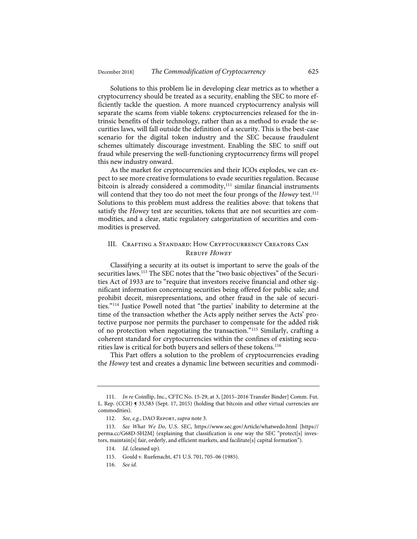Solutions to this problem lie in developing clear metrics as to whether a cryptocurrency should be treated as a security, enabling the SEC to more efficiently tackle the question. A more nuanced cryptocurrency analysis will separate the scams from viable tokens: cryptocurrencies released for the intrinsic benefits of their technology, rather than as a method to evade the securities laws, will fall outside the definition of a security. This is the best-case scenario for the digital token industry and the SEC because fraudulent schemes ultimately discourage investment. Enabling the SEC to sniff out fraud while preserving the well-functioning cryptocurrency firms will propel this new industry onward.

As the market for cryptocurrencies and their ICOs explodes, we can expect to see more creative formulations to evade securities regulation. Because bitcoin is already considered a commodity,<sup>111</sup> similar financial instruments will contend that they too do not meet the four prongs of the *Howey* test.<sup>112</sup> Solutions to this problem must address the realities above: that tokens that satisfy the *Howey* test are securities, tokens that are not securities are commodities, and a clear, static regulatory categorization of securities and commodities is preserved.

#### III. Crafting a Standard: How Cryptocurrency Creators Can REBUFF HOWEY

Classifying a security at its outset is important to serve the goals of the securities laws.<sup>113</sup> The SEC notes that the "two basic objectives" of the Securities Act of 1933 are to "require that investors receive financial and other significant information concerning securities being offered for public sale; and prohibit deceit, misrepresentations, and other fraud in the sale of securities."114 Justice Powell noted that "the parties' inability to determine at the time of the transaction whether the Acts apply neither serves the Acts' protective purpose nor permits the purchaser to compensate for the added risk of no protection when negotiating the transaction."115 Similarly, crafting a coherent standard for cryptocurrencies within the confines of existing securities law is critical for both buyers and sellers of these tokens.<sup>116</sup>

This Part offers a solution to the problem of cryptocurrencies evading the *Howey* test and creates a dynamic line between securities and commodi-

<sup>111.</sup> *In re* Coinflip, Inc., CFTC No. 15-29, at 3, [2015–2016 Transfer Binder] Comm. Fut. L. Rep. (CCH) § 33,583 (Sept. 17, 2015) (holding that bitcoin and other virtual currencies are commodities).

<sup>112.</sup> *See, e.g.*, DAO Report, *supra* note 3.

<sup>113.</sup> *See What We Do*, U.S. SEC, https://www.sec.gov/Article/whatwedo.html [https:// perma.cc/G68D-SH2M] (explaining that classification is one way the SEC "protect[s] investors, maintain[s] fair, orderly, and efficient markets, and facilitate[s] capital formation").

<sup>114.</sup> *Id*. (cleaned up)*.*

<sup>115.</sup> Gould v. Ruefenacht, 471 U.S. 701, 705–06 (1985).

<sup>116.</sup> *See id.*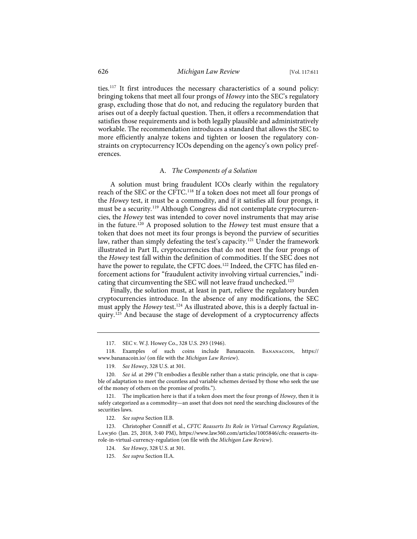ties.117 It first introduces the necessary characteristics of a sound policy: bringing tokens that meet all four prongs of *Howey* into the SEC's regulatory grasp, excluding those that do not, and reducing the regulatory burden that arises out of a deeply factual question. Then, it offers a recommendation that satisfies those requirements and is both legally plausible and administratively workable. The recommendation introduces a standard that allows the SEC to more efficiently analyze tokens and tighten or loosen the regulatory constraints on cryptocurrency ICOs depending on the agency's own policy preferences.

#### A. *The Components of a Solution*

A solution must bring fraudulent ICOs clearly within the regulatory reach of the SEC or the CFTC.118 If a token does not meet all four prongs of the *Howey* test, it must be a commodity, and if it satisfies all four prongs, it must be a security.<sup>119</sup> Although Congress did not contemplate cryptocurrencies, the *Howey* test was intended to cover novel instruments that may arise in the future.120 A proposed solution to the *Howey* test must ensure that a token that does not meet its four prongs is beyond the purview of securities law, rather than simply defeating the test's capacity.<sup>121</sup> Under the framework illustrated in Part II, cryptocurrencies that do not meet the four prongs of the *Howey* test fall within the definition of commodities. If the SEC does not have the power to regulate, the CFTC does.<sup>122</sup> Indeed, the CFTC has filed enforcement actions for "fraudulent activity involving virtual currencies," indicating that circumventing the SEC will not leave fraud unchecked.<sup>123</sup>

Finally, the solution must, at least in part, relieve the regulatory burden cryptocurrencies introduce. In the absence of any modifications, the SEC must apply the *Howey* test.<sup>124</sup> As illustrated above, this is a deeply factual inquiry.125 And because the stage of development of a cryptocurrency affects

<sup>117.</sup> SEC v. W.J. Howey Co., 328 U.S. 293 (1946).

<sup>118.</sup> Examples of such coins include Bananacoin. Bananacoin, https:// www.bananacoin.io/ (on file with the *Michigan Law Review*).

<sup>119.</sup> *See Howey*, 328 U.S. at 301.

<sup>120.</sup> *See id.* at 299 ("It embodies a flexible rather than a static principle, one that is capable of adaptation to meet the countless and variable schemes devised by those who seek the use of the money of others on the promise of profits.").

<sup>121.</sup> The implication here is that if a token does meet the four prongs of *Howey*, then it is safely categorized as a commodity—an asset that does not need the searching disclosures of the securities laws.

<sup>122.</sup> *See supra* Section II.B.

<sup>123.</sup> Christopher Conniff et al., *CFTC Reasserts Its Role in Virtual Currency Regulation*, Law360 (Jan. 25, 2018, 3:40 PM), https://www.law360.com/articles/1005846/cftc-reasserts-itsrole-in-virtual-currency-regulation (on file with the *Michigan Law Review*).

<sup>124.</sup> *See Howey*, 328 U.S. at 301.

<sup>125.</sup> *See supra* Section II.A.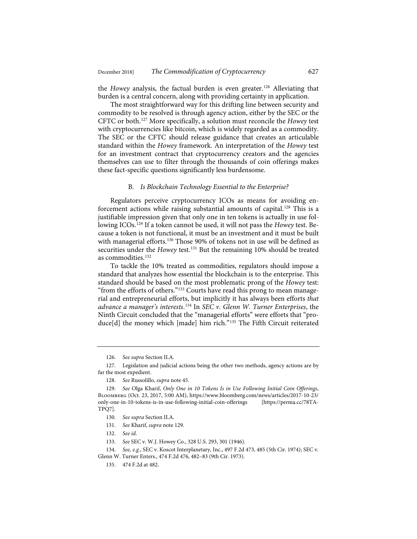the *Howey* analysis, the factual burden is even greater.<sup>126</sup> Alleviating that burden is a central concern, along with providing certainty in application.

The most straightforward way for this drifting line between security and commodity to be resolved is through agency action, either by the SEC or the CFTC or both.127 More specifically, a solution must reconcile the *Howey* test with cryptocurrencies like bitcoin, which is widely regarded as a commodity. The SEC or the CFTC should release guidance that creates an articulable standard within the *Howey* framework. An interpretation of the *Howey* test for an investment contract that cryptocurrency creators and the agencies themselves can use to filter through the thousands of coin offerings makes these fact-specific questions significantly less burdensome.

#### B. *Is Blockchain Technology Essential to the Enterprise?*

Regulators perceive cryptocurrency ICOs as means for avoiding enforcement actions while raising substantial amounts of capital.<sup>128</sup> This is a justifiable impression given that only one in ten tokens is actually in use following ICOs.129 If a token cannot be used, it will not pass the *Howey* test. Because a token is not functional, it must be an investment and it must be built with managerial efforts.<sup>130</sup> Those 90% of tokens not in use will be defined as securities under the *Howey* test.<sup>131</sup> But the remaining 10% should be treated as commodities.<sup>132</sup>

To tackle the 10% treated as commodities, regulators should impose a standard that analyzes how essential the blockchain is to the enterprise. This standard should be based on the most problematic prong of the *Howey* test: "from the efforts of others."<sup>133</sup> Courts have read this prong to mean managerial and entrepreneurial efforts, but implicitly it has always been efforts *that advance a manager's interests*. <sup>134</sup> In *SEC v. Glenn W. Turner Enterprises*, the Ninth Circuit concluded that the "managerial efforts" were efforts that "produce[d] the money which [made] him rich."135 The Fifth Circuit reiterated

133. *See* SEC v. W.J. Howey Co., 328 U.S. 293, 301 (1946).

<sup>126.</sup> *See supra* Section II.A*.*

<sup>127.</sup> Legislation and judicial actions being the other two methods, agency actions are by far the most expedient.

<sup>128.</sup> *See* Russolillo, *supra* note 45.

<sup>129.</sup> *See* Olga Kharif, *Only One in 10 Tokens Is in Use Following Initial Coin Offerings*, Bloomberg (Oct. 23, 2017, 5:00 AM), https://www.bloomberg.com/news/articles/2017-10-23/ only-one-in-10-tokens-is-in-use-following-initial-coin-offerings [https://perma.cc/78TA-TPQ7].

<sup>130.</sup> *See supra* Section II.A.

<sup>131.</sup> *See* Kharif, *supra* note 129.

<sup>132.</sup> *See id.*

<sup>134.</sup> *See, e.g.*, SEC v. Koscot Interplanetary, Inc., 497 F.2d 473, 485 (5th Cir. 1974); SEC v. Glenn W. Turner Enters., 474 F.2d 476, 482–83 (9th Cir. 1973).

<sup>135. 474</sup> F.2d at 482.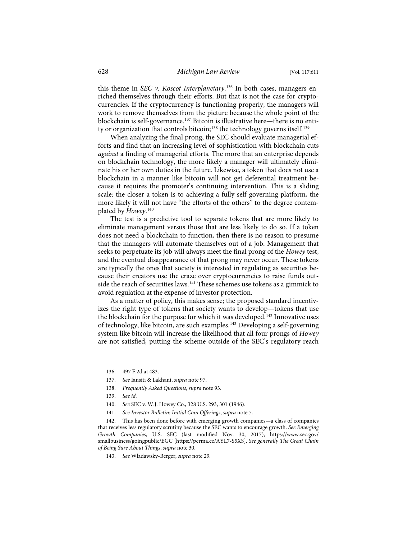this theme in *SEC v. Koscot Interplanetary*. <sup>136</sup> In both cases, managers enriched themselves through their efforts. But that is not the case for cryptocurrencies. If the cryptocurrency is functioning properly, the managers will work to remove themselves from the picture because the whole point of the blockchain is self-governance.<sup>137</sup> Bitcoin is illustrative here—there is no entity or organization that controls bitcoin;<sup>138</sup> the technology governs itself.<sup>139</sup>

When analyzing the final prong, the SEC should evaluate managerial efforts and find that an increasing level of sophistication with blockchain cuts *against* a finding of managerial efforts. The more that an enterprise depends on blockchain technology, the more likely a manager will ultimately eliminate his or her own duties in the future. Likewise, a token that does not use a blockchain in a manner like bitcoin will not get deferential treatment because it requires the promoter's continuing intervention. This is a sliding scale: the closer a token is to achieving a fully self-governing platform, the more likely it will not have "the efforts of the others" to the degree contemplated by *Howey*. 140

The test is a predictive tool to separate tokens that are more likely to eliminate management versus those that are less likely to do so. If a token does not need a blockchain to function, then there is no reason to presume that the managers will automate themselves out of a job. Management that seeks to perpetuate its job will always meet the final prong of the *Howey* test, and the eventual disappearance of that prong may never occur. These tokens are typically the ones that society is interested in regulating as securities because their creators use the craze over cryptocurrencies to raise funds outside the reach of securities laws.<sup>141</sup> These schemes use tokens as a gimmick to avoid regulation at the expense of investor protection.

As a matter of policy, this makes sense; the proposed standard incentivizes the right type of tokens that society wants to develop—tokens that use the blockchain for the purpose for which it was developed.<sup>142</sup> Innovative uses of technology, like bitcoin, are such examples.143 Developing a self-governing system like bitcoin will increase the likelihood that all four prongs of *Howey* are not satisfied, putting the scheme outside of the SEC's regulatory reach

<sup>136. 497</sup> F.2d at 483.

<sup>137.</sup> *See* Iansiti & Lakhani, *supra* note 97.

<sup>138.</sup> *Frequently Asked Questions*, *supra* note 93.

<sup>139.</sup> *See id.*

<sup>140.</sup> *See* SEC v. W.J. Howey Co., 328 U.S. 293, 301 (1946).

<sup>141.</sup> *See Investor Bulletin: Initial Coin Offerings*, *supra* note 7.

<sup>142.</sup> This has been done before with emerging growth companies—a class of companies that receives less regulatory scrutiny because the SEC wants to encourage growth. *See Emerging Growth Companies*, U.S. SEC (last modified Nov. 30, 2017), https://www.sec.gov/ smallbusiness/goingpublic/EGC [https://perma.cc/AYL7-S5XS]. *See generally The Great Chain of Being Sure About Things*, *supra* note 30.

<sup>143.</sup> *See* Wladawsky-Berger, *supra* note 29.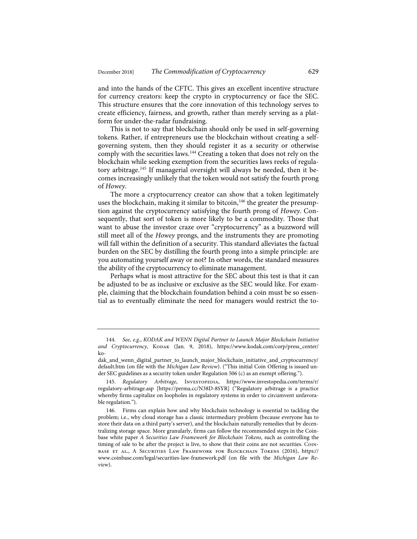and into the hands of the CFTC. This gives an excellent incentive structure for currency creators: keep the crypto in cryptocurrency or face the SEC. This structure ensures that the core innovation of this technology serves to create efficiency, fairness, and growth, rather than merely serving as a platform for under-the-radar fundraising.

This is not to say that blockchain should only be used in self-governing tokens. Rather, if entrepreneurs use the blockchain without creating a selfgoverning system, then they should register it as a security or otherwise comply with the securities laws.<sup>144</sup> Creating a token that does not rely on the blockchain while seeking exemption from the securities laws reeks of regulatory arbitrage.145 If managerial oversight will always be needed, then it becomes increasingly unlikely that the token would not satisfy the fourth prong of *Howey*.

The more a cryptocurrency creator can show that a token legitimately uses the blockchain, making it similar to bitcoin,<sup>146</sup> the greater the presumption against the cryptocurrency satisfying the fourth prong of *Howey*. Consequently, that sort of token is more likely to be a commodity. Those that want to abuse the investor craze over "cryptocurrency" as a buzzword will still meet all of the *Howey* prongs, and the instruments they are promoting will fall within the definition of a security. This standard alleviates the factual burden on the SEC by distilling the fourth prong into a simple principle: are you automating yourself away or not? In other words, the standard measures the ability of the cryptocurrency to eliminate management.

Perhaps what is most attractive for the SEC about this test is that it can be adjusted to be as inclusive or exclusive as the SEC would like. For example, claiming that the blockchain foundation behind a coin must be so essential as to eventually eliminate the need for managers would restrict the to-

<sup>144.</sup> *See, e.g.*, *KODAK and WENN Digital Partner to Launch Major Blockchain Initiative and Cryptocurrency*, Kodak (Jan. 9, 2018), https://www.kodak.com/corp/press\_center/ ko-

dak\_and\_wenn\_digital\_partner\_to\_launch\_major\_blockchain\_initiative\_and\_cryptocurrency/ default.htm (on file with the *Michigan Law Review*). ("This initial Coin Offering is issued under SEC guidelines as a security token under Regulation 506 (c) as an exempt offering.").

<sup>145.</sup> *Regulatory Arbitrage*, Investopedia, https://www.investopedia.com/terms/r/ regulatory-arbitrage.asp [https://perma.cc/N38D-8SYR] ("Regulatory arbitrage is a practice whereby firms capitalize on loopholes in regulatory systems in order to circumvent unfavorable regulation.").

<sup>146.</sup> Firms can explain how and why blockchain technology is essential to tackling the problem; i.e., why cloud storage has a classic intermediary problem (because everyone has to store their data on a third party's server), and the blockchain naturally remedies that by decentralizing storage space. More granularly, firms can follow the recommended steps in the Coinbase white paper *A Securities Law Framework for Blockchain Tokens*, such as controlling the timing of sale to be after the project is live, to show that their coins are not securities. Coinbase et al., A Securities Law Framework for Blockchain Tokens (2016), https:// www.coinbase.com/legal/securities-law-framework.pdf (on file with the *Michigan Law Review*).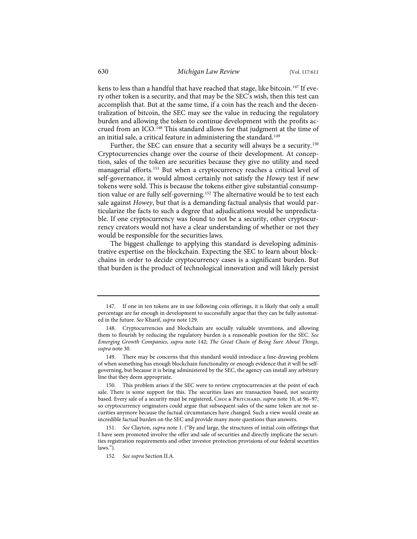kens to less than a handful that have reached that stage, like bitcoin.<sup>147</sup> If every other token is a security, and that may be the SEC's wish, then this test can accomplish that. But at the same time, if a coin has the reach and the decentralization of bitcoin, the SEC may see the value in reducing the regulatory burden and allowing the token to continue development with the profits accrued from an ICO.<sup>148</sup> This standard allows for that judgment at the time of an initial sale, a critical feature in administering the standard.<sup>149</sup>

Further, the SEC can ensure that a security will always be a security.<sup>150</sup> Cryptocurrencies change over the course of their development. At conception, sales of the token are securities because they give no utility and need managerial efforts.151 But when a cryptocurrency reaches a critical level of self-governance, it would almost certainly not satisfy the *Howey* test if new tokens were sold. This is because the tokens either give substantial consumption value or are fully self-governing.<sup>152</sup> The alternative would be to test each sale against *Howey*, but that is a demanding factual analysis that would particularize the facts to such a degree that adjudications would be unpredictable. If one cryptocurrency was found to not be a security, other cryptocurrency creators would not have a clear understanding of whether or not they would be responsible for the securities laws.

The biggest challenge to applying this standard is developing administrative expertise on the blockchain. Expecting the SEC to learn about blockchains in order to decide cryptocurrency cases is a significant burden. But that burden is the product of technological innovation and will likely persist

<sup>147.</sup> If one in ten tokens are in use following coin offerings, it is likely that only a small percentage are far enough in development to successfully argue that they can be fully automated in the future. *See* Kharif, *supra* note 129.

<sup>148.</sup> Cryptocurrencies and blockchain are socially valuable inventions, and allowing them to flourish by reducing the regulatory burden is a reasonable position for the SEC. *See Emerging Growth Companies*, *supra* note 142; *The Great Chain of Being Sure About Things*, *supra* note 30.

<sup>149.</sup> There may be concerns that this standard would introduce a line-drawing problem of when something has enough blockchain functionality or enough evidence that it will be selfgoverning, but because it is being administered by the SEC, the agency can install any arbitrary line that they deem appropriate.

<sup>150.</sup> This problem arises if the SEC were to review cryptocurrencies at the point of each sale. There is some support for this. The securities laws are transaction based, not security based. Every sale of a security must be registered, CHOI & PRITCHARD, *supra* note 10, at 96-97, so cryptocurrency originators could argue that subsequent sales of the same token are not securities anymore because the factual circumstances have changed. Such a view would create an incredible factual burden on the SEC and provide many more questions than answers.

<sup>151.</sup> *See* Clayton, *supra* note 1. ("By and large, the structures of initial coin offerings that I have seen promoted involve the offer and sale of securities and directly implicate the securities registration requirements and other investor protection provisions of our federal securities laws.").

<sup>152.</sup> *See supra* Section II.A.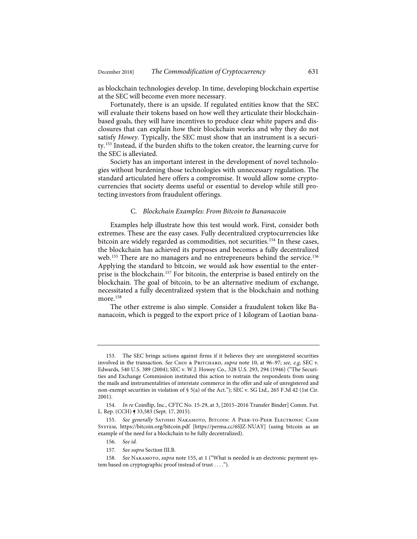as blockchain technologies develop. In time, developing blockchain expertise at the SEC will become even more necessary.

Fortunately, there is an upside. If regulated entities know that the SEC will evaluate their tokens based on how well they articulate their blockchainbased goals, they will have incentives to produce clear white papers and disclosures that can explain how their blockchain works and why they do not satisfy *Howey*. Typically, the SEC must show that an instrument is a security.153 Instead, if the burden shifts to the token creator, the learning curve for the SEC is alleviated.

Society has an important interest in the development of novel technologies without burdening those technologies with unnecessary regulation. The standard articulated here offers a compromise. It would allow some cryptocurrencies that society deems useful or essential to develop while still protecting investors from fraudulent offerings.

#### C*. Blockchain Examples: From Bitcoin to Bananacoin*

Examples help illustrate how this test would work. First, consider both extremes. These are the easy cases. Fully decentralized cryptocurrencies like bitcoin are widely regarded as commodities, not securities.<sup>154</sup> In these cases, the blockchain has achieved its purposes and becomes a fully decentralized web.<sup>155</sup> There are no managers and no entrepreneurs behind the service.<sup>156</sup> Applying the standard to bitcoin, we would ask how essential to the enterprise is the blockchain.<sup>157</sup> For bitcoin, the enterprise is based entirely on the blockchain. The goal of bitcoin, to be an alternative medium of exchange, necessitated a fully decentralized system that is the blockchain and nothing more.<sup>158</sup>

The other extreme is also simple. Consider a fraudulent token like Bananacoin, which is pegged to the export price of 1 kilogram of Laotian bana-

<sup>153.</sup> The SEC brings actions against firms if it believes they are unregistered securities involved in the transaction. *See* Choi & Pritchard, *supra* note 10, at 96–97; *see, e.g*, SEC v. Edwards, 540 U.S. 389 (2004); SEC v. W.J. Howey Co., 328 U.S. 293, 294 (1946) ("The Securities and Exchange Commission instituted this action to restrain the respondents from using the mails and instrumentalities of interstate commerce in the offer and sale of unregistered and non-exempt securities in violation of § 5(a) of the Act."); SEC v. SG Ltd., 265 F.3d 42 (1st Cir. 2001).

<sup>154.</sup> *In re* Coinflip, Inc., CFTC No. 15-29, at 3, [2015–2016 Transfer Binder] Comm. Fut. L. Rep. (CCH) ¶ 33,583 (Sept. 17, 2015).

<sup>155.</sup> See generally SATOSHI NAKAMOTO, BITCOIN: A PEER-TO-PEER ELECTRONIC CASH System, https://bitcoin.org/bitcoin.pdf [https://perma.cc/6SJZ-NUAY] (using bitcoin as an example of the need for a blockchain to be fully decentralized).

<sup>156.</sup> *See id.*

<sup>157.</sup> *See supra* Section III.B.

<sup>158.</sup> *See* Nakamoto, *supra* note 155, at 1 ("What is needed is an electronic payment system based on cryptographic proof instead of trust . . . .").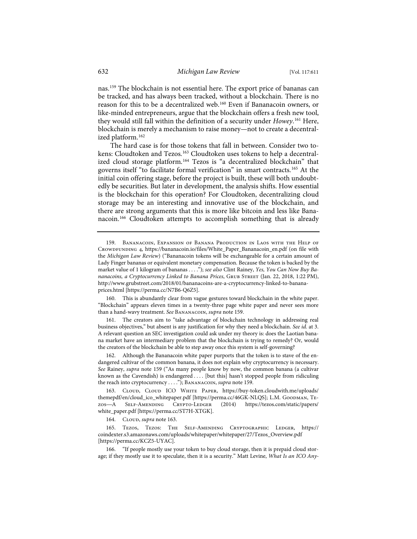nas.159 The blockchain is not essential here. The export price of bananas can be tracked, and has always been tracked, without a blockchain. There is no reason for this to be a decentralized web.160 Even if Bananacoin owners, or like-minded entrepreneurs, argue that the blockchain offers a fresh new tool, they would still fall within the definition of a security under *Howey*. <sup>161</sup> Here, blockchain is merely a mechanism to raise money—not to create a decentralized platform.<sup>162</sup>

The hard case is for those tokens that fall in between. Consider two tokens: Cloudtoken and Tezos.<sup>163</sup> Cloudtoken uses tokens to help a decentralized cloud storage platform.<sup>164</sup> Tezos is "a decentralized blockchain" that governs itself "to facilitate formal verification" in smart contracts.165 At the initial coin offering stage, before the project is built, these will both undoubtedly be securities. But later in development, the analysis shifts. How essential is the blockchain for this operation? For Cloudtoken, decentralizing cloud storage may be an interesting and innovative use of the blockchain, and there are strong arguments that this is more like bitcoin and less like Bananacoin.166 Cloudtoken attempts to accomplish something that is already

160. This is abundantly clear from vague gestures toward blockchain in the white paper. "Blockchain" appears eleven times in a twenty-three page white paper and never sees more than a hand-wavy treatment. *See* Bananacoin, *supra* note 159.

161. The creators aim to "take advantage of blockchain technology in addressing real business objectives," but absent is any justification for why they need a blockchain. *See id.* at 3. A relevant question an SEC investigation could ask under my theory is: does the Laotian banana market have an intermediary problem that the blockchain is trying to remedy? Or, would the creators of the blockchain be able to step away once this system is self-governing?

162. Although the Bananacoin white paper purports that the token is to stave of the endangered cultivar of the common banana, it does not explain why cryptocurrency is necessary. *See* Rainey, *supra* note 159 ("As many people know by now, the common banana (a cultivar known as the Cavendish) is endangered .... [but this] hasn't stopped people from ridiculing the reach into cryptocurrency . . . ."); Bananacoin, *supra* note 159.

163. Cloud, Cloud ICO White Paper, https://buy-token.cloudwith.me/uploads/ themepdf/en/cloud\_ico\_whitepaper.pdf [https://perma.cc/46GK-NLQS]; L.M. Goodman, Tezos—A Self-Amending Crypto-Ledger (2014) https://tezos.com/static/papers/ white\_paper.pdf [https://perma.cc/ST7H-XTGK].

164. CLOUD, *supra* note 163.

165. Tezos, Tezos: The Self-Amending Cryptographic Ledger, https:// coindexter.s3.amazonaws.com/uploads/whitepaper/whitepaper/27/Tezos\_Overview.pdf [https://perma.cc/KCZ5-UYAC].

166. "If people mostly use your token to buy cloud storage, then it is prepaid cloud storage; if they mostly use it to speculate, then it is a security." Matt Levine, *What Is an ICO Any-*

<sup>159.</sup> Bananacoin, Expansion of Banana Production in Laos with the Help of Crowdfunding 4, https://bananacoin.io/files/White\_Paper\_Bananacoin\_en.pdf (on file with the *Michigan Law Review*) ("Bananacoin tokens will be exchangeable for a certain amount of Lady Finger bananas or equivalent monetary compensation. Because the token is backed by the market value of 1 kilogram of bananas . . . ."); *see also* Clint Rainey, *Yes, You Can Now Buy Bananacoins, a Cryptocurrency Linked to Banana Prices*, Grub Street (Jan. 22, 2018, 1:22 PM), http://www.grubstreet.com/2018/01/bananacoins-are-a-cryptocurrency-linked-to-bananaprices.html [https://perma.cc/N7B6-Q6Z5].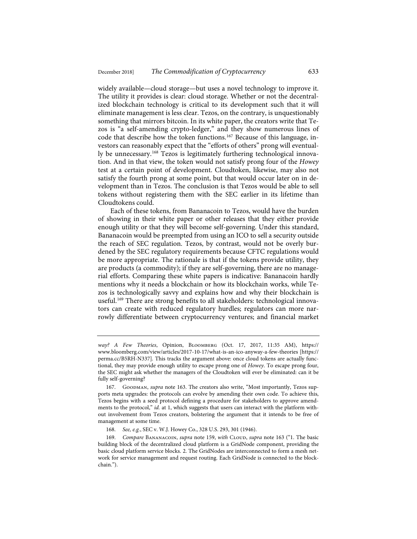widely available—cloud storage—but uses a novel technology to improve it. The utility it provides is clear: cloud storage. Whether or not the decentralized blockchain technology is critical to its development such that it will eliminate management is less clear. Tezos, on the contrary, is unquestionably something that mirrors bitcoin. In its white paper, the creators write that Tezos is "a self-amending crypto-ledger," and they show numerous lines of code that describe how the token functions.<sup>167</sup> Because of this language, investors can reasonably expect that the "efforts of others" prong will eventually be unnecessary.168 Tezos is legitimately furthering technological innovation. And in that view, the token would not satisfy prong four of the *Howey* test at a certain point of development. Cloudtoken, likewise, may also not satisfy the fourth prong at some point, but that would occur later on in development than in Tezos. The conclusion is that Tezos would be able to sell tokens without registering them with the SEC earlier in its lifetime than Cloudtokens could.

Each of these tokens, from Bananacoin to Tezos, would have the burden of showing in their white paper or other releases that they either provide enough utility or that they will become self-governing. Under this standard, Bananacoin would be preempted from using an ICO to sell a security outside the reach of SEC regulation. Tezos, by contrast, would not be overly burdened by the SEC regulatory requirements because CFTC regulations would be more appropriate. The rationale is that if the tokens provide utility, they are products (a commodity); if they are self-governing, there are no managerial efforts. Comparing these white papers is indicative: Bananacoin hardly mentions why it needs a blockchain or how its blockchain works, while Tezos is technologically savvy and explains how and why their blockchain is useful.<sup>169</sup> There are strong benefits to all stakeholders: technological innovators can create with reduced regulatory hurdles; regulators can more narrowly differentiate between cryptocurrency ventures; and financial market

*way? A Few Theories*, Opinion, Bloomberg (Oct. 17, 2017, 11:35 AM), https:// www.bloomberg.com/view/articles/2017-10-17/what-is-an-ico-anyway-a-few-theories [https:// perma.cc/B5RH-N337]. This tracks the argument above: once cloud tokens are actually functional, they may provide enough utility to escape prong one of *Howey*. To escape prong four, the SEC might ask whether the managers of the Cloudtoken will ever be eliminated: can it be fully self-governing?

<sup>167.</sup> Goodman, *supra* note 163. The creators also write, "Most importantly, Tezos supports meta upgrades: the protocols can evolve by amending their own code. To achieve this, Tezos begins with a seed protocol defining a procedure for stakeholders to approve amendments to the protocol," *id.* at 1, which suggests that users can interact with the platform without involvement from Tezos creators, bolstering the argument that it intends to be free of management at some time.

<sup>168.</sup> *See, e.g.*, SEC v. W.J. Howey Co., 328 U.S. 293, 301 (1946).

<sup>169.</sup> *Compare BANANACOIN, supra* note 159, with CLOUD, *supra* note 163 ("1. The basic building block of the decentralized cloud platform is a GridNode component, providing the basic cloud platform service blocks. 2. The GridNodes are interconnected to form a mesh network for service management and request routing. Each GridNode is connected to the blockchain.").